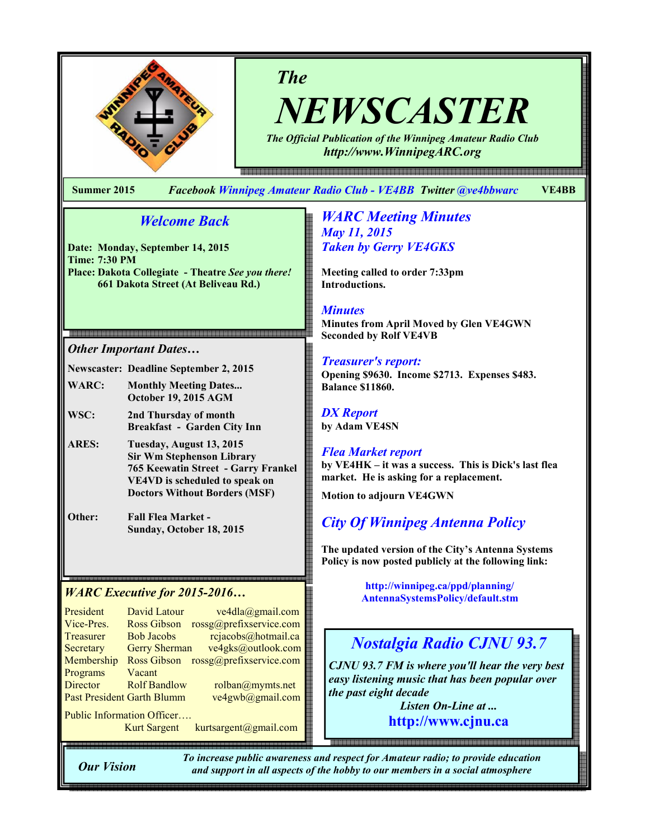

# The

NEWSCASTER The Official Publication of the Winnipeg Amateur Radio Club

http://www.WinnipegARC.org

Summer 2015 Facebook Winnipeg Amateur Radio Club - VE4BB Twitter @ve4bbwarc VE4BB

## Welcome Back

Date: Monday, September 14, 2015 Time: 7:30 PM Place: Dakota Collegiate - Theatre See you there! 661 Dakota Street (At Beliveau Rd.)

#### Other Important Dates…

Newscaster: Deadline September 2, 2015

WARC: Monthly Meeting Dates... October 19, 2015 AGM

WSC: 2nd Thursday of month Breakfast - Garden City Inn

ARES: Tuesday, August 13, 2015 Sir Wm Stephenson Library 765 Keewatin Street - Garry Frankel VE4VD is scheduled to speak on Doctors Without Borders (MSF)

Other: Fall Flea Market - Sunday, October 18, 2015

President David Latour ve4dla@gmail.com Vice-Pres. Ross Gibson rossg@prefixservice.com Treasurer Bob Jacobs rejacobs@hotmail.ca Secretary Gerry Sherman ve4gks@outlook.com Membership Ross Gibson rossg@prefixservice.com Programs Vacant<br>Director Rolf Bandlow Director Rolf Bandlow rolban@mymts.net Past President Garth Blumm ve4gwb@gmail.com Public Information Officer….

Kurt Sargent kurtsargent@gmail.com

#### **WARC Meeting Minutes** May 11, 2015 Taken by Gerry VE4GKS

Meeting called to order 7:33pm Introductions.

#### **Minutes**

Minutes from April Moved by Glen VE4GWN Seconded by Rolf VE4VB

#### Treasurer's report:

Opening \$9630. Income \$2713. Expenses \$483. Balance \$11860.

#### DX Report by Adam VE4SN

#### Flea Market report by VE4HK – it was a success. This is Dick's last flea market. He is asking for a replacement.

Motion to adjourn VE4GWN

# City Of Winnipeg Antenna Policy

The updated version of the City's Antenna Systems Policy is now posted publicly at the following link:

WARC Executive for 2015-2016… **Machinan**the http://winnipeg.ca/ppd/planning/<br>AntennaSystemsPolicy/default.stm

# Nostalgia Radio CJNU 93.7

CJNU 93.7 FM is where you'll hear the very best easy listening music that has been popular over the past eight decade

> Listen On-Line at ... http://www.cjnu.ca

Our Vision

To increase public awareness and respect for Amateur radio; to provide education and support in all aspects of the hobby to our members in a social atmosphere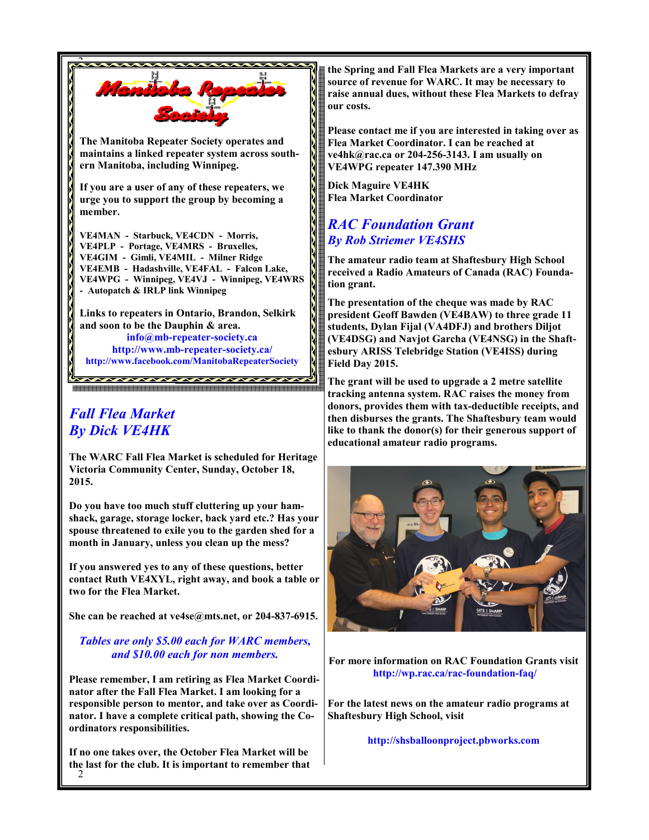

info@mb-repeater-society.ca http://www.mb-repeater-society.ca/ http://www.facebook.com/ManitobaRepeaterSociety

# Fall Flea Market By Dick VE4HK

The WARC Fall Flea Market is scheduled for Heritage Victoria Community Center, Sunday, October 18, 2015.

Do you have too much stuff cluttering up your hamshack, garage, storage locker, back yard etc.? Has your spouse threatened to exile you to the garden shed for a month in January, unless you clean up the mess?

If you answered yes to any of these questions, better contact Ruth VE4XYL, right away, and book a table or two for the Flea Market.

She can be reached at ve4se@mts.net, or 204-837-6915.

#### Tables are only \$5.00 each for WARC members, and \$10.00 each for non members.

Please remember, I am retiring as Flea Market Coordinator after the Fall Flea Market. I am looking for a responsible person to mentor, and take over as Coordinator. I have a complete critical path, showing the Coordinators responsibilities.

2 If no one takes over, the October Flea Market will be the last for the club. It is important to remember that the Spring and Fall Flea Markets are a very important source of revenue for WARC. It may be necessary to raise annual dues, without these Flea Markets to defray our costs.

Please contact me if you are interested in taking over as Flea Market Coordinator. I can be reached at ve4hk@rac.ca or 204-256-3143. I am usually on VE4WPG repeater 147.390 MHz

Dick Maguire VE4HK Flea Market Coordinator

## RAC Foundation Grant By Rob Striemer VE4SHS

The amateur radio team at Shaftesbury High School received a Radio Amateurs of Canada (RAC) Foundation grant.

The presentation of the cheque was made by RAC president Geoff Bawden (VE4BAW) to three grade 11 students, Dylan Fijal (VA4DFJ) and brothers Diljot (VE4DSG) and Navjot Garcha (VE4NSG) in the Shaftesbury ARISS Telebridge Station (VE4ISS) during Field Day 2015.

The grant will be used to upgrade a 2 metre satellite tracking antenna system. RAC raises the money from donors, provides them with tax-deductible receipts, and then disburses the grants. The Shaftesbury team would like to thank the donor(s) for their generous support of educational amateur radio programs.



For more information on RAC Foundation Grants visit http://wp.rac.ca/rac-foundation-faq/

For the latest news on the amateur radio programs at Shaftesbury High School, visit

http://shsballoonproject.pbworks.com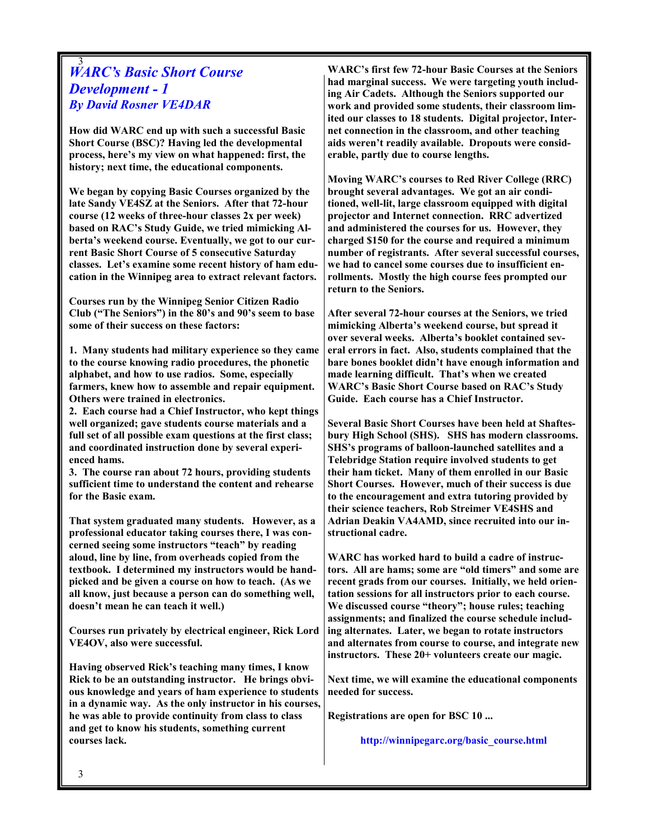#### 3 WARC's Basic Short Course Development - 1 By David Rosner VE4DAR

How did WARC end up with such a successful Basic Short Course (BSC)? Having led the developmental process, here's my view on what happened: first, the history; next time, the educational components.

We began by copying Basic Courses organized by the late Sandy VE4SZ at the Seniors. After that 72-hour course (12 weeks of three-hour classes 2x per week) based on RAC's Study Guide, we tried mimicking Alberta's weekend course. Eventually, we got to our current Basic Short Course of 5 consecutive Saturday classes. Let's examine some recent history of ham education in the Winnipeg area to extract relevant factors.

Courses run by the Winnipeg Senior Citizen Radio Club ("The Seniors") in the 80's and 90's seem to base some of their success on these factors:

1. Many students had military experience so they came to the course knowing radio procedures, the phonetic alphabet, and how to use radios. Some, especially farmers, knew how to assemble and repair equipment. Others were trained in electronics.

2. Each course had a Chief Instructor, who kept things well organized; gave students course materials and a full set of all possible exam questions at the first class; and coordinated instruction done by several experienced hams.

3. The course ran about 72 hours, providing students sufficient time to understand the content and rehearse for the Basic exam.

That system graduated many students. However, as a professional educator taking courses there, I was concerned seeing some instructors "teach" by reading aloud, line by line, from overheads copied from the textbook. I determined my instructors would be handpicked and be given a course on how to teach. (As we all know, just because a person can do something well, doesn't mean he can teach it well.)

Courses run privately by electrical engineer, Rick Lord VE4OV, also were successful.

Having observed Rick's teaching many times, I know Rick to be an outstanding instructor. He brings obvious knowledge and years of ham experience to students in a dynamic way. As the only instructor in his courses, he was able to provide continuity from class to class and get to know his students, something current courses lack.

WARC's first few 72-hour Basic Courses at the Seniors had marginal success. We were targeting youth including Air Cadets. Although the Seniors supported our work and provided some students, their classroom limited our classes to 18 students. Digital projector, Internet connection in the classroom, and other teaching aids weren't readily available. Dropouts were considerable, partly due to course lengths.

Moving WARC's courses to Red River College (RRC) brought several advantages. We got an air conditioned, well-lit, large classroom equipped with digital projector and Internet connection. RRC advertized and administered the courses for us. However, they charged \$150 for the course and required a minimum number of registrants. After several successful courses, we had to cancel some courses due to insufficient enrollments. Mostly the high course fees prompted our return to the Seniors.

After several 72-hour courses at the Seniors, we tried mimicking Alberta's weekend course, but spread it over several weeks. Alberta's booklet contained several errors in fact. Also, students complained that the bare bones booklet didn't have enough information and made learning difficult. That's when we created WARC's Basic Short Course based on RAC's Study Guide. Each course has a Chief Instructor.

Several Basic Short Courses have been held at Shaftesbury High School (SHS). SHS has modern classrooms. SHS's programs of balloon-launched satellites and a Telebridge Station require involved students to get their ham ticket. Many of them enrolled in our Basic Short Courses. However, much of their success is due to the encouragement and extra tutoring provided by their science teachers, Rob Streimer VE4SHS and Adrian Deakin VA4AMD, since recruited into our instructional cadre.

WARC has worked hard to build a cadre of instructors. All are hams; some are "old timers" and some are recent grads from our courses. Initially, we held orientation sessions for all instructors prior to each course. We discussed course "theory"; house rules; teaching assignments; and finalized the course schedule including alternates. Later, we began to rotate instructors and alternates from course to course, and integrate new instructors. These 20+ volunteers create our magic.

Next time, we will examine the educational components needed for success.

Registrations are open for BSC 10 ...

http://winnipegarc.org/basic\_course.html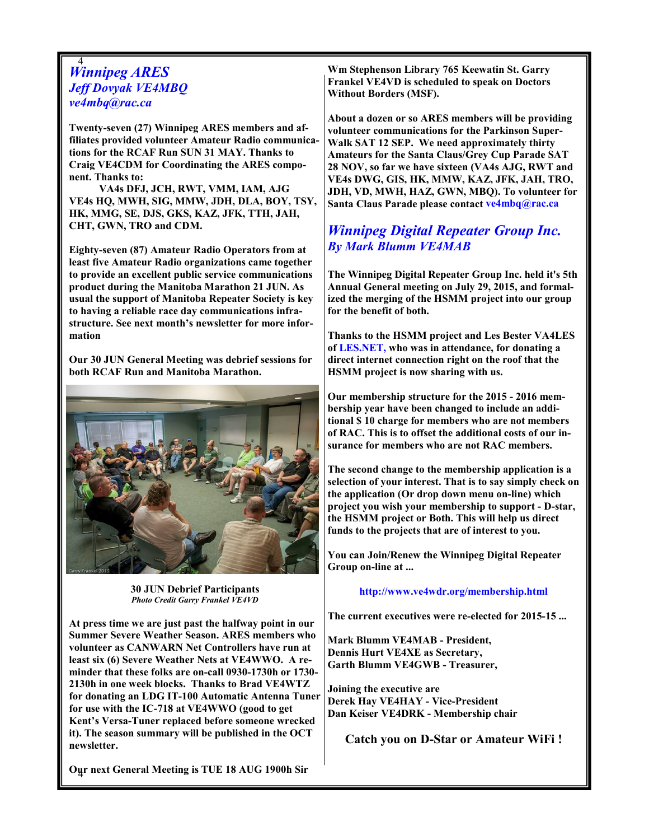#### 4 Winnipeg ARES Jeff Dovyak VE4MBQ ve4mbq@rac.ca

Twenty-seven (27) Winnipeg ARES members and affiliates provided volunteer Amateur Radio communications for the RCAF Run SUN 31 MAY. Thanks to Craig VE4CDM for Coordinating the ARES component. Thanks to:

 VA4s DFJ, JCH, RWT, VMM, IAM, AJG VE4s HQ, MWH, SIG, MMW, JDH, DLA, BOY, TSY, HK, MMG, SE, DJS, GKS, KAZ, JFK, TTH, JAH, CHT, GWN, TRO and CDM.

Eighty-seven (87) Amateur Radio Operators from at least five Amateur Radio organizations came together to provide an excellent public service communications product during the Manitoba Marathon 21 JUN. As usual the support of Manitoba Repeater Society is key to having a reliable race day communications infrastructure. See next month's newsletter for more information

Our 30 JUN General Meeting was debrief sessions for both RCAF Run and Manitoba Marathon.



30 JUN Debrief Participants Photo Credit Garry Frankel VE4VD

At press time we are just past the halfway point in our Summer Severe Weather Season. ARES members who volunteer as CANWARN Net Controllers have run at least six (6) Severe Weather Nets at VE4WWO. A reminder that these folks are on-call 0930-1730h or 1730- 2130h in one week blocks. Thanks to Brad VE4WTZ for donating an LDG IT-100 Automatic Antenna Tuner for use with the IC-718 at VE4WWO (good to get Kent's Versa-Tuner replaced before someone wrecked it). The season summary will be published in the OCT newsletter.

4 Our next General Meeting is TUE 18 AUG 1900h Sir

Wm Stephenson Library 765 Keewatin St. Garry Frankel VE4VD is scheduled to speak on Doctors Without Borders (MSF).

About a dozen or so ARES members will be providing volunteer communications for the Parkinson Super-Walk SAT 12 SEP. We need approximately thirty Amateurs for the Santa Claus/Grey Cup Parade SAT 28 NOV, so far we have sixteen (VA4s AJG, RWT and VE4s DWG, GIS, HK, MMW, KAZ, JFK, JAH, TRO, JDH, VD, MWH, HAZ, GWN, MBQ). To volunteer for Santa Claus Parade please contact ve4mbq@rac.ca

# Winnipeg Digital Repeater Group Inc. By Mark Blumm VE4MAB

The Winnipeg Digital Repeater Group Inc. held it's 5th Annual General meeting on July 29, 2015, and formalized the merging of the HSMM project into our group for the benefit of both.

Thanks to the HSMM project and Les Bester VA4LES of LES.NET, who was in attendance, for donating a direct internet connection right on the roof that the HSMM project is now sharing with us.

Our membership structure for the 2015 - 2016 membership year have been changed to include an additional \$ 10 charge for members who are not members of RAC. This is to offset the additional costs of our insurance for members who are not RAC members.

The second change to the membership application is a selection of your interest. That is to say simply check on the application (Or drop down menu on-line) which project you wish your membership to support - D-star, the HSMM project or Both. This will help us direct funds to the projects that are of interest to you.

You can Join/Renew the Winnipeg Digital Repeater Group on-line at ...

#### http://www.ve4wdr.org/membership.html

The current executives were re-elected for 2015-15 ...

Mark Blumm VE4MAB - President, Dennis Hurt VE4XE as Secretary, Garth Blumm VE4GWB - Treasurer,

Joining the executive are Derek Hay VE4HAY - Vice-President Dan Keiser VE4DRK - Membership chair

Catch you on D-Star or Amateur WiFi !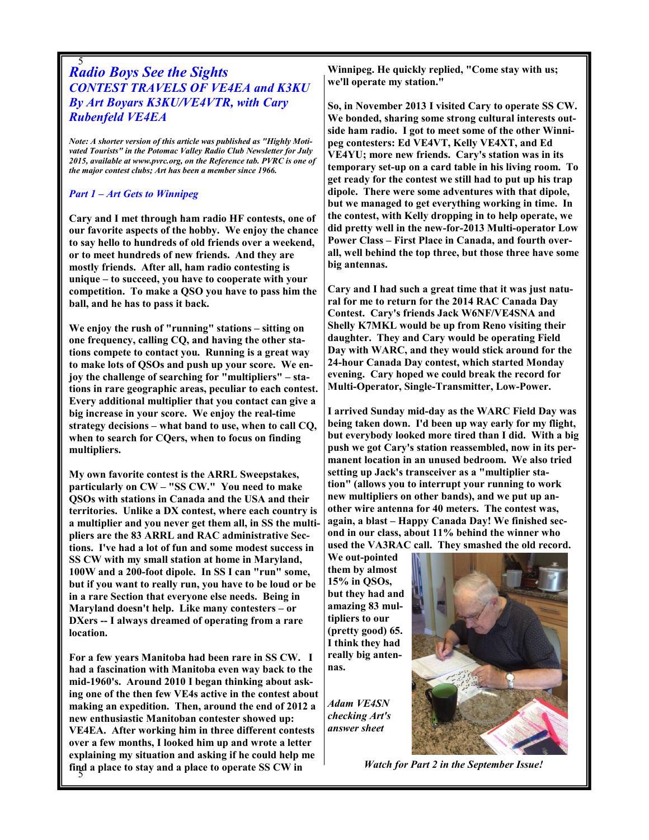#### 5 Radio Boys See the Sights CONTEST TRAVELS OF VE4EA and K3KU By Art Boyars K3KU/VE4VTR, with Cary Rubenfeld VE4EA

Note: A shorter version of this article was published as "Highly Motivated Tourists" in the Potomac Valley Radio Club Newsletter for July 2015, available at www.pvrc.org, on the Reference tab. PVRC is one of the major contest clubs; Art has been a member since 1966.

#### Part 1 – Art Gets to Winnipeg

Cary and I met through ham radio HF contests, one of our favorite aspects of the hobby. We enjoy the chance to say hello to hundreds of old friends over a weekend, or to meet hundreds of new friends. And they are mostly friends. After all, ham radio contesting is unique – to succeed, you have to cooperate with your competition. To make a QSO you have to pass him the ball, and he has to pass it back.

We enjoy the rush of "running" stations – sitting on one frequency, calling CQ, and having the other stations compete to contact you. Running is a great way to make lots of QSOs and push up your score. We enjoy the challenge of searching for "multipliers" – stations in rare geographic areas, peculiar to each contest. Every additional multiplier that you contact can give a big increase in your score. We enjoy the real-time strategy decisions – what band to use, when to call CQ, when to search for CQers, when to focus on finding multipliers.

My own favorite contest is the ARRL Sweepstakes, particularly on CW – "SS CW." You need to make QSOs with stations in Canada and the USA and their territories. Unlike a DX contest, where each country is a multiplier and you never get them all, in SS the multipliers are the 83 ARRL and RAC administrative Sections. I've had a lot of fun and some modest success in SS CW with my small station at home in Maryland, 100W and a 200-foot dipole. In SS I can "run" some, but if you want to really run, you have to be loud or be in a rare Section that everyone else needs. Being in Maryland doesn't help. Like many contesters – or DXers -- I always dreamed of operating from a rare location.

find a place to stay and a place to operate SS CW in For a few years Manitoba had been rare in SS CW. I had a fascination with Manitoba even way back to the mid-1960's. Around 2010 I began thinking about asking one of the then few VE4s active in the contest about making an expedition. Then, around the end of 2012 a new enthusiastic Manitoban contester showed up: VE4EA. After working him in three different contests over a few months, I looked him up and wrote a letter explaining my situation and asking if he could help me

Winnipeg. He quickly replied, "Come stay with us; we'll operate my station."

So, in November 2013 I visited Cary to operate SS CW. We bonded, sharing some strong cultural interests outside ham radio. I got to meet some of the other Winnipeg contesters: Ed VE4VT, Kelly VE4XT, and Ed VE4YU; more new friends. Cary's station was in its temporary set-up on a card table in his living room. To get ready for the contest we still had to put up his trap dipole. There were some adventures with that dipole, but we managed to get everything working in time. In the contest, with Kelly dropping in to help operate, we did pretty well in the new-for-2013 Multi-operator Low Power Class – First Place in Canada, and fourth overall, well behind the top three, but those three have some big antennas.

Cary and I had such a great time that it was just natural for me to return for the 2014 RAC Canada Day Contest. Cary's friends Jack W6NF/VE4SNA and Shelly K7MKL would be up from Reno visiting their daughter. They and Cary would be operating Field Day with WARC, and they would stick around for the 24-hour Canada Day contest, which started Monday evening. Cary hoped we could break the record for Multi-Operator, Single-Transmitter, Low-Power.

I arrived Sunday mid-day as the WARC Field Day was being taken down. I'd been up way early for my flight, but everybody looked more tired than I did. With a big push we got Cary's station reassembled, now in its permanent location in an unused bedroom. We also tried setting up Jack's transceiver as a "multiplier station" (allows you to interrupt your running to work new multipliers on other bands), and we put up another wire antenna for 40 meters. The contest was, again, a blast – Happy Canada Day! We finished second in our class, about 11% behind the winner who used the VA3RAC call. They smashed the old record.

We out-pointed them by almost 15% in QSOs, but they had and amazing 83 multipliers to our (pretty good) 65. I think they had really big antennas.

Adam VE4SN checking Art's answer sheet



Watch for Part 2 in the September Issue!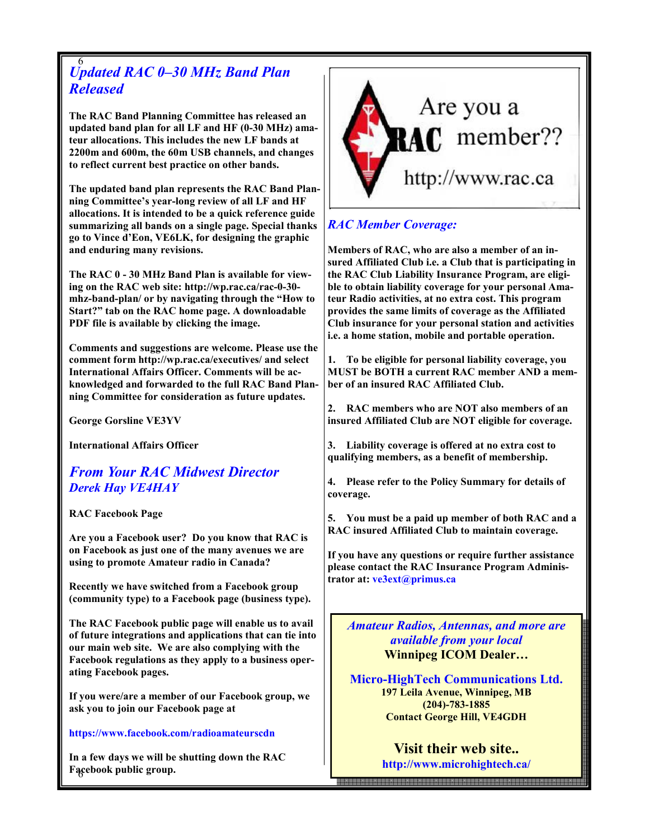#### 6 Updated RAC 0–30 MHz Band Plan Released

The RAC Band Planning Committee has released an updated band plan for all LF and HF (0-30 MHz) amateur allocations. This includes the new LF bands at 2200m and 600m, the 60m USB channels, and changes to reflect current best practice on other bands.

The updated band plan represents the RAC Band Planning Committee's year-long review of all LF and HF allocations. It is intended to be a quick reference guide summarizing all bands on a single page. Special thanks go to Vince d'Eon, VE6LK, for designing the graphic and enduring many revisions.

The RAC 0 - 30 MHz Band Plan is available for viewing on the RAC web site: http://wp.rac.ca/rac-0-30 mhz-band-plan/ or by navigating through the "How to Start?" tab on the RAC home page. A downloadable PDF file is available by clicking the image.

Comments and suggestions are welcome. Please use the comment form http://wp.rac.ca/executives/ and select International Affairs Officer. Comments will be acknowledged and forwarded to the full RAC Band Planning Committee for consideration as future updates.

George Gorsline VE3YV

International Affairs Officer

From Your RAC Midwest Director Derek Hay VE4HAY

RAC Facebook Page

Are you a Facebook user? Do you know that RAC is on Facebook as just one of the many avenues we are using to promote Amateur radio in Canada?

Recently we have switched from a Facebook group (community type) to a Facebook page (business type).

The RAC Facebook public page will enable us to avail of future integrations and applications that can tie into our main web site. We are also complying with the Facebook regulations as they apply to a business operating Facebook pages.

If you were/are a member of our Facebook group, we ask you to join our Facebook page at

#### https://www.facebook.com/radioamateurscdn

6 Facebook public group. In a few days we will be shutting down the RAC



# RAC Member Coverage:

Members of RAC, who are also a member of an insured Affiliated Club i.e. a Club that is participating in the RAC Club Liability Insurance Program, are eligible to obtain liability coverage for your personal Amateur Radio activities, at no extra cost. This program provides the same limits of coverage as the Affiliated Club insurance for your personal station and activities i.e. a home station, mobile and portable operation.

1. To be eligible for personal liability coverage, you MUST be BOTH a current RAC member AND a member of an insured RAC Affiliated Club.

2. RAC members who are NOT also members of an insured Affiliated Club are NOT eligible for coverage.

3. Liability coverage is offered at no extra cost to qualifying members, as a benefit of membership.

4. Please refer to the Policy Summary for details of coverage.

5. You must be a paid up member of both RAC and a RAC insured Affiliated Club to maintain coverage.

If you have any questions or require further assistance please contact the RAC Insurance Program Administrator at: ve3ext@primus.ca

Amateur Radios, Antennas, and more are available from your local Winnipeg ICOM Dealer…

Micro-HighTech Communications Ltd. 197 Leila Avenue, Winnipeg, MB (204)-783-1885 Contact George Hill, VE4GDH

> Visit their web site.. http://www.microhightech.ca/